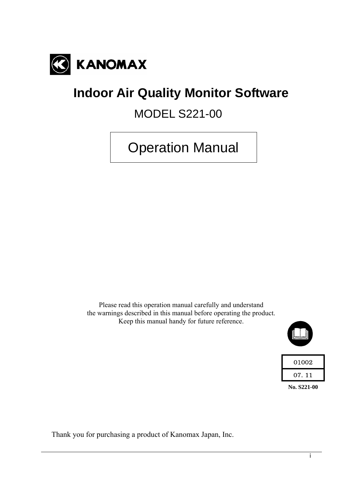

# **Indoor Air Quality Monitor Software**

MODEL S221-00

Operation Manual

Please read this operation manual carefully and understand the warnings described in this manual before operating the product. Keep this manual handy for future reference.



| 01002  |  |
|--------|--|
| 07. 11 |  |

**No. S221-00** 

Thank you for purchasing a product of Kanomax Japan, Inc.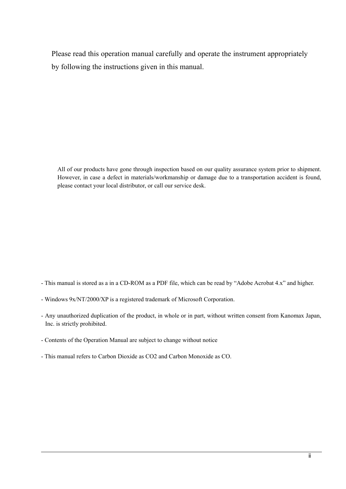Please read this operation manual carefully and operate the instrument appropriately by following the instructions given in this manual.

All of our products have gone through inspection based on our quality assurance system prior to shipment. However, in case a defect in materials/workmanship or damage due to a transportation accident is found, please contact your local distributor, or call our service desk.

- This manual is stored as a in a CD-ROM as a PDF file, which can be read by "Adobe Acrobat 4.x" and higher.
- Windows 9x/NT/2000/XP is a registered trademark of Microsoft Corporation.
- Any unauthorized duplication of the product, in whole or in part, without written consent from Kanomax Japan, Inc. is strictly prohibited.
- Contents of the Operation Manual are subject to change without notice
- This manual refers to Carbon Dioxide as CO2 and Carbon Monoxide as CO.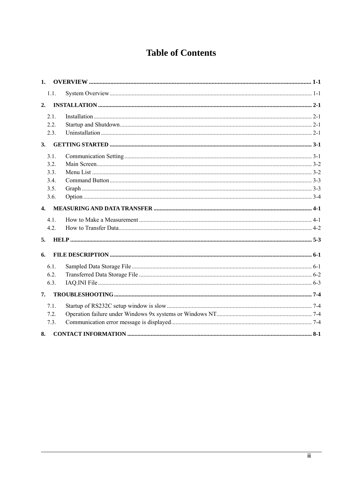## **Table of Contents**

| 1.           |      |  |
|--------------|------|--|
|              | 1.1. |  |
| 2.           |      |  |
|              | 2.1. |  |
|              | 2.2. |  |
|              | 2.3. |  |
| 3.           |      |  |
|              | 3.1. |  |
|              | 3.2. |  |
|              | 3.3. |  |
|              | 3.4. |  |
|              | 3.5. |  |
|              | 3.6. |  |
| $\mathbf{4}$ |      |  |
|              | 4.1. |  |
|              | 4.2. |  |
| 5.           |      |  |
| 6.           |      |  |
|              | 6.1. |  |
|              | 6.2. |  |
|              | 6.3. |  |
| 7.           |      |  |
|              | 7.1. |  |
|              | 7.2. |  |
|              | 7.3. |  |
| 8.           |      |  |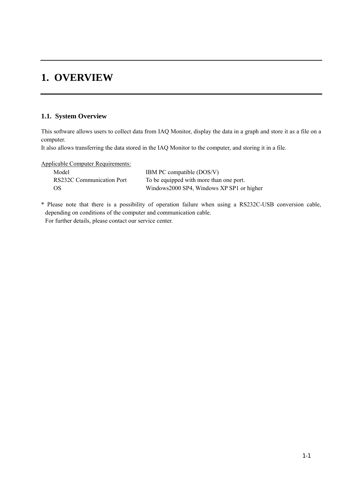## **1. OVERVIEW**

## **1.1. System Overview**

This software allows users to collect data from IAQ Monitor, display the data in a graph and store it as a file on a computer.

It also allows transferring the data stored in the IAQ Monitor to the computer, and storing it in a file.

Applicable Computer Requirements:

| Model                     | IBM PC compatible (DOS/V)                  |
|---------------------------|--------------------------------------------|
| RS232C Communication Port | To be equipped with more than one port.    |
| OS.                       | Windows 2000 SP4, Windows XP SP1 or higher |

\* Please note that there is a possibility of operation failure when using a RS232C-USB conversion cable, depending on conditions of the computer and communication cable. For further details, please contact our service center.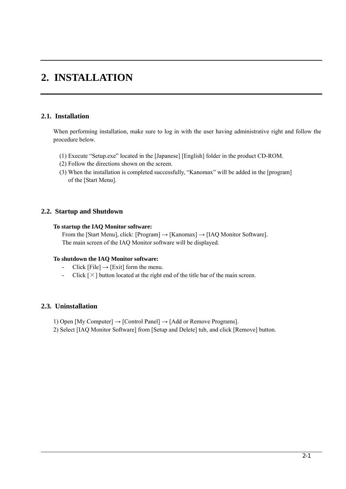## **2. INSTALLATION**

## **2.1. Installation**

When performing installation, make sure to log in with the user having administrative right and follow the procedure below.

- (1) Execute "Setup.exe" located in the [Japanese] [English] folder in the product CD-ROM.
- (2) Follow the directions shown on the screen.
- (3) When the installation is completed successfully, "Kanomax" will be added in the [program] of the [Start Menu].

## **2.2. Startup and Shutdown**

#### **To startup the IAQ Monitor software:**

From the [Start Menu], click: [Program]  $\rightarrow$  [Kanomax]  $\rightarrow$  [IAQ Monitor Software]. The main screen of the IAQ Monitor software will be displayed.

#### **To shutdown the IAQ Monitor software:**

- Click [File]  $\rightarrow$  [Exit] form the menu.
- Click  $[\times]$  button located at the right end of the title bar of the main screen.

## **2.3. Uninstallation**

- 1) Open [My Computer]  $\rightarrow$  [Control Panel]  $\rightarrow$  [Add or Remove Programs].
- 2) Select [IAQ Monitor Software] from [Setup and Delete] tub, and click [Remove] button.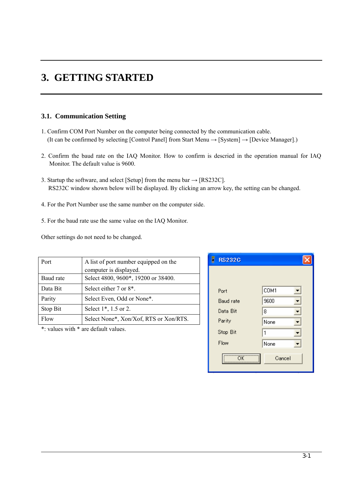## **3. GETTING STARTED**

## **3.1. Communication Setting**

- 1. Confirm COM Port Number on the computer being connected by the communication cable. (It can be confirmed by selecting [Control Panel] from Start Menu  $\rightarrow$  [System]  $\rightarrow$  [Device Manager].)
- 2. Confirm the baud rate on the IAQ Monitor. How to confirm is descried in the operation manual for IAQ Monitor. The default value is 9600.
- 3. Startup the software, and select [Setup] from the menu bar  $\rightarrow$  [RS232C]. RS232C window shown below will be displayed. By clicking an arrow key, the setting can be changed.
- 4. For the Port Number use the same number on the computer side.
- 5. For the baud rate use the same value on the IAQ Monitor.

Other settings do not need to be changed.

| Port      | A list of port number equipped on the  |  |
|-----------|----------------------------------------|--|
|           | computer is displayed.                 |  |
| Baud rate | Select 4800, 9600*, 19200 or 38400.    |  |
| Data Bit  | Select either 7 or 8 <sup>*</sup> .    |  |
| Parity    | Select Even, Odd or None*.             |  |
| Stop Bit  | Select 1 <sup>*</sup> , 1.5 or 2.      |  |
| Flow      | Select None*, Xon/Xof, RTS or Xon/RTS. |  |

\*: values with \* are default values.

| <b>RS232C</b>    |        |
|------------------|--------|
|                  |        |
| Port             | COM1   |
| <b>Baud rate</b> | 9600   |
| Data Bit         | 8      |
| Parity           | None   |
| Stop Bit         | 1      |
| Flow             | None   |
| ÖK               | Cancel |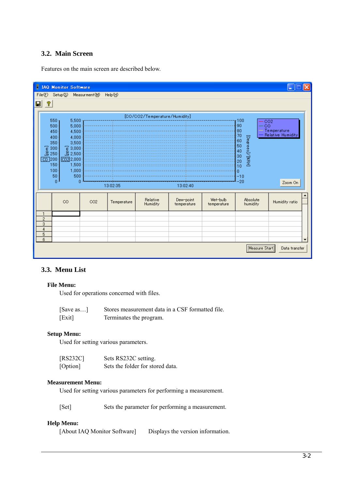## **3.2. Main Screen**

Features on the main screen are described below.



### **3.3. Menu List**

#### **File Menu:**

Used for operations concerned with files.

| Save as | Stores measurement data in a CSF formatted file. |
|---------|--------------------------------------------------|
| [Exit]  | Terminates the program.                          |

#### **Setup Menu:**

Used for setting various parameters.

| [RS232C] | Sets RS232C setting.             |
|----------|----------------------------------|
| [Option] | Sets the folder for stored data. |

#### **Measurement Menu:**

Used for setting various parameters for performing a measurement.

```
[Set] Sets the parameter for performing a measurement.
```
#### **Help Menu:**

[About IAQ Monitor Software] Displays the version information.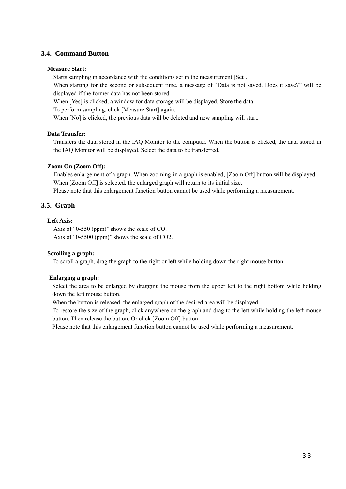## **3.4. Command Button**

#### **Measure Start:**

Starts sampling in accordance with the conditions set in the measurement [Set].

When starting for the second or subsequent time, a message of "Data is not saved. Does it save?" will be displayed if the former data has not been stored.

When [Yes] is clicked, a window for data storage will be displayed. Store the data.

To perform sampling, click [Measure Start] again.

When [No] is clicked, the previous data will be deleted and new sampling will start.

#### **Data Transfer:**

 Transfers the data stored in the IAQ Monitor to the computer. When the button is clicked, the data stored in the IAQ Monitor will be displayed. Select the data to be transferred.

#### **Zoom On (Zoom Off):**

Enables enlargement of a graph. When zooming-in a graph is enabled, [Zoom Off] button will be displayed. When [Zoom Off] is selected, the enlarged graph will return to its initial size.

Please note that this enlargement function button cannot be used while performing a measurement.

## **3.5. Graph**

#### **Left Axis:**

Axis of "0-550 (ppm)" shows the scale of CO. Axis of "0-5500 (ppm)" shows the scale of CO2.

#### **Scrolling a graph:**

To scroll a graph, drag the graph to the right or left while holding down the right mouse button.

#### **Enlarging a graph:**

 Select the area to be enlarged by dragging the mouse from the upper left to the right bottom while holding down the left mouse button.

When the button is released, the enlarged graph of the desired area will be displayed.

To restore the size of the graph, click anywhere on the graph and drag to the left while holding the left mouse button. Then release the button. Or click [Zoom Off] button.

Please note that this enlargement function button cannot be used while performing a measurement.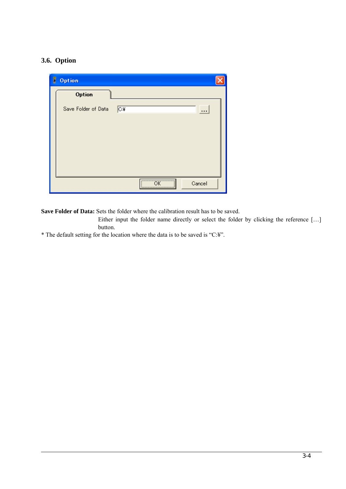## **3.6. Option**

| B<br>Option         |                          |
|---------------------|--------------------------|
| Option              |                          |
| Save Folder of Data | $\sqrt{C*}$<br>          |
|                     |                          |
|                     |                          |
|                     |                          |
|                     |                          |
|                     | $\overline{X}$<br>Cancel |

**Save Folder of Data:** Sets the folder where the calibration result has to be saved.

Either input the folder name directly or select the folder by clicking the reference […] button.

\* The default setting for the location where the data is to be saved is "C:¥".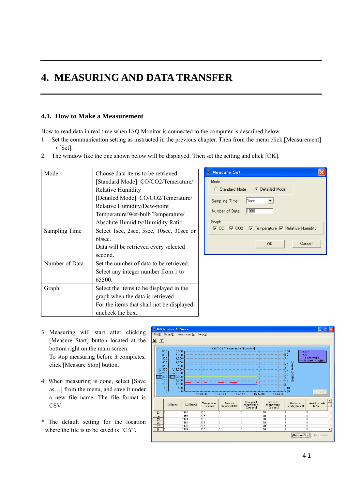## **4. MEASURING AND DATA TRANSFER**

## **4.1. How to Make a Measurement**

How to read data in real time when IAQ Monitor is connected to the computer is described below.

- 1. Set the communication setting as instructed in the previous chapter. Then from the menu click [Measurement]  $\rightarrow$  [Set].
- 2. The window like the one shown below will be displayed. Then set the setting and click [OK].

| Mode           | Choose data items to be retrieved.         | Е<br><b>Measure Set</b><br>×                                                                       |
|----------------|--------------------------------------------|----------------------------------------------------------------------------------------------------|
|                | [Standard Mode]: CO/CO2/Temerature/        | Mode                                                                                               |
|                | <b>Relative Humidity</b>                   | Standard Mode<br>O<br><b>C</b> Detailed Mode                                                       |
|                | [Detailed Mode]: CO/CO2/Temerature/        | 1sec<br>Sampling Time:                                                                             |
|                | Relative Humidity/Dew-point                |                                                                                                    |
|                | Temperature/Wet-bulb Temperature/          | 1000<br>Number of Data:                                                                            |
|                | Absolute Humidity/Humidity Ratio           | ·Graph-                                                                                            |
| Sampling Time  | Select 1sec, 2sec, 5sec, 10sec, 30sec or   | $\nabla$ CO <sub>2</sub><br>$\nabla$ Temperature $\nabla$ Relative Humidity<br>$\triangledown$ CO. |
|                | 60sec.                                     |                                                                                                    |
|                | Data will be retrieved every selected      | Cancel<br>OK.                                                                                      |
|                | second.                                    |                                                                                                    |
| Number of Data | Set the number of data to be retrieved.    |                                                                                                    |
|                | Select any integer number from 1 to        |                                                                                                    |
|                | 65500.                                     |                                                                                                    |
| Graph          | Select the items to be displayed in the    |                                                                                                    |
|                | graph when the data is retrieved.          |                                                                                                    |
|                | For the items that shall not be displayed, |                                                                                                    |
|                | uncheck the box.                           |                                                                                                    |

- 3. Measuring will start after clicking [Measure Start] button located at the bottom right on the main screen. To stop measuring before it completes, click [Measure Stop] button.
- 4. When measuring is done, select [Save as…] from the menu, and save it under a new file name. The file format is CSV.
- \* The default setting for the location where the file is to be saved is "C:¥".

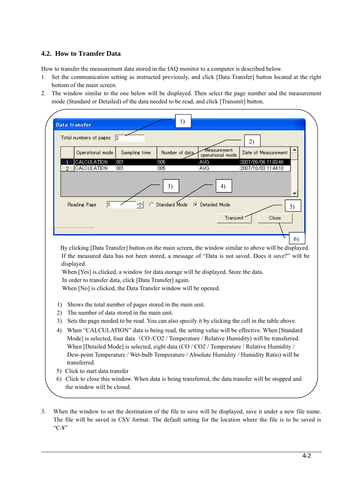## **4.2. How to Transfer Data**

How to transfer the measurement data stored in the IAQ monitor to a computer is described below.

- 1. Set the communication setting as instructed previously, and click [Data Transfer] button located at the right bottom of the main screen.
- 2. The window similar to the one below will be displayed. Then select the page number and the measurement mode (Standard or Detailed) of the data needed to be read, and click [Transmit] button.

|                | Data transfer                               |               | 1)                                                                                                                                                                                                                                                                                   |                                 |          |                                                                                                   |
|----------------|---------------------------------------------|---------------|--------------------------------------------------------------------------------------------------------------------------------------------------------------------------------------------------------------------------------------------------------------------------------------|---------------------------------|----------|---------------------------------------------------------------------------------------------------|
|                | Total numbers of pages                      | $\mathsf{I}2$ |                                                                                                                                                                                                                                                                                      |                                 | 2)       |                                                                                                   |
|                | Operational mode                            | Sampling time | Number of data                                                                                                                                                                                                                                                                       | Measurement<br>operational mode |          | Date of Measurement                                                                               |
|                | CALCULATION<br>CALCULATION                  | 001<br>001    | 005<br>005                                                                                                                                                                                                                                                                           | AVG<br>AVG                      |          | 2007/09/06 11:03:46<br>2007/10/03 11:44:10                                                        |
|                | Reading Page<br>l1                          |               | 3)                                                                                                                                                                                                                                                                                   | Standard Mode ( Detailed Mode   | 4)       | 5)                                                                                                |
|                |                                             |               |                                                                                                                                                                                                                                                                                      |                                 | Transmit | Close                                                                                             |
|                |                                             |               |                                                                                                                                                                                                                                                                                      |                                 |          |                                                                                                   |
|                | displayed.                                  |               | When [Yes] is clicked, a window for data storage will be displayed. Store the data.<br>In order to transfer data, click [Data Transfer] again.                                                                                                                                       |                                 |          | If the measured data has not been stored, a message of "Data is not saved. Does it save?" will be |
| 1)<br>2)<br>3) | The number of data stored in the main unit. |               | When [No] is clicked, the Data Transfer window will be opened.<br>Shows the total number of pages stored in the main unit.<br>Sets the page needed to be read. You can also specify it by clicking the cell in the table above.                                                      |                                 |          |                                                                                                   |
|                | transferred.                                |               | Mode] is selected, four data (CO/CO2/Temperature/Relative Humidity) will be transferred.<br>When [Detailed Mode] is selected, eight data (CO / CO2 / Temperature / Relative Humidity /<br>Dew-point Temperature / Wet-bulb Temperature / Absolute Humidity / Humidity Ratio) will be |                                 |          | When "CALCULATION" data is being read, the setting value will be effective. When [Standard]       |
| 4)<br>6)       | 5) Click to start data transfer             |               |                                                                                                                                                                                                                                                                                      |                                 |          | Click to close this window. When data is being transferred, the data transfer will be stopped and |

3. When the window to set the destination of the file to save will be displayed, save it under a new file name. The file will be saved in CSV format. The default setting for the location where the file is to be saved is "C:¥"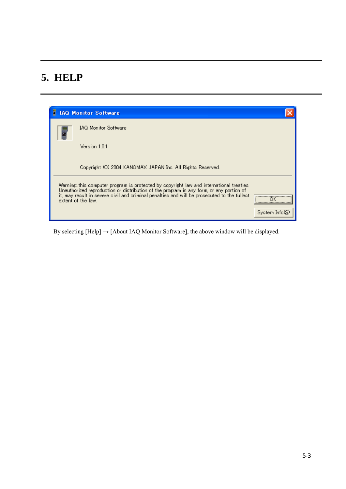## **5. HELP**

| F | <b>IAQ Monitor Software</b>                                                                                                                                                                                                                                                                           |               |
|---|-------------------------------------------------------------------------------------------------------------------------------------------------------------------------------------------------------------------------------------------------------------------------------------------------------|---------------|
|   | <b>IAQ Monitor Software</b>                                                                                                                                                                                                                                                                           |               |
|   | Version 1.0.1                                                                                                                                                                                                                                                                                         |               |
|   | Copyright (C) 2004 KANOMAX JAPAN Inc. All Rights Reserved.                                                                                                                                                                                                                                            |               |
|   | Warningthis computer program is protected by copyright law and international treaties<br>Unauthorized reproduction or distribution of the program in any form, or any portion of<br>it, may result in severe civil and criminal penalties and will be prosecuted to the fullest<br>extent of the law. | <br>          |
|   |                                                                                                                                                                                                                                                                                                       | System Info(S |

By selecting  $[He[p] \rightarrow [About IAQ Monitor Software]$ , the above window will be displayed.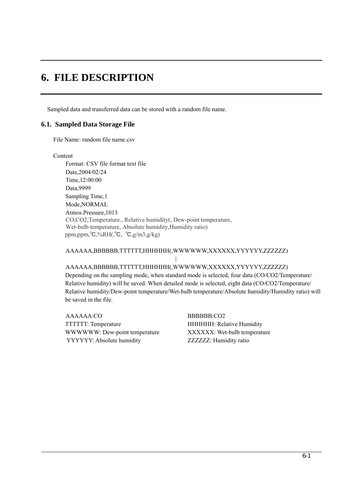## **6. FILE DESCRIPTION**

Sampled data and transferred data can be stored with a random file name.

### **6.1. Sampled Data Storage File**

File Name: random file name.csv

**Content** 

Format: CSV file format text file Date,2004/02/24 Time,12:00:00 Data,9999 Sampling Time,1 Mode,NORMAL Atmos.Pressure,1013 CO,CO2,Temperature., Relative humidity(, Dew-point temperature, Wet-bulb temperature, Absolute humidity,Humidity ratio) ppm,ppm,℃,%RH(,℃, ℃,g/m3,g/kg)

## AAAAAA,BBBBBB,TTTTTT,HHHHHH(,WWWWWW,XXXXXX,YYYYYY,ZZZZZZ)

## | AAAAAA,BBBBBB,TTTTTT,HHHHHH(,WWWWWW,XXXXXX,YYYYYY,ZZZZZZ) Depending on the sampling mode, when standard mode is selected, four data (CO/CO2/Temperature/ Relative humidity) will be saved. When detailed mode is selected, eight data (CO/CO2/Temperature/ Relative humidity/Dew-point temperature/Wet-bulb temperature/Absolute humidity/Humidity ratio) will be saved in the file.

 AAAAAA:CO BBBBBB:CO2 TTTTTT: Temperature HHHHHH: Relative Humidity WWWWW: Dew-point temperature XXXXXX: Wet-bulb temperature YYYYYY: Absolute humidity ZZZZZZ: Humidity ratio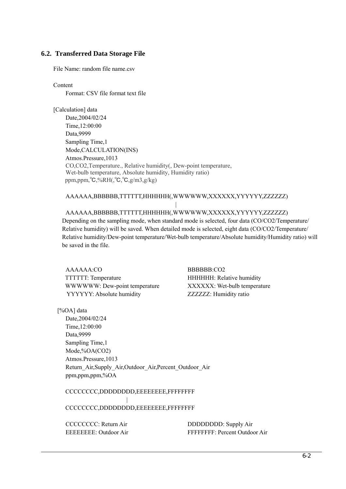## **6.2. Transferred Data Storage File**

File Name: random file name.csv

Content

Format: CSV file format text file

[Calculation] data Date,2004/02/24 Time,12:00:00 Data,9999 Sampling Time,1 Mode,CALCULATION(INS) Atmos.Pressure,1013 CO,CO2,Temperature., Relative humidity(, Dew-point temperature, Wet-bulb temperature, Absolute humidity, Humidity ratio) ppm,ppm,℃,%RH(,℃,℃,g/m3,g/kg)

### AAAAAA,BBBBBB,TTTTTT,HHHHHH(,WWWWWW,XXXXXX,YYYYYY,ZZZZZZ)

## AAAAAA,BBBBBB,TTTTTT,HHHHHH(,WWWWWW,XXXXXX,YYYYYY,ZZZZZZ)

Depending on the sampling mode, when standard mode is selected, four data (CO/CO2/Temperature/ Relative humidity) will be saved. When detailed mode is selected, eight data (CO/CO2/Temperature/ Relative humidity/Dew-point temperature/Wet-bulb temperature/Absolute humidity/Humidity ratio) will be saved in the file.

 AAAAAA:CO BBBBBB:CO2 TTTTTT: Temperature HHHHHH: Relative humidity WWWWW: Dew-point temperature XXXXXX: Wet-bulb temperature YYYYYY: Absolute humidity ZZZZZZ: Humidity ratio

|

[%OA] data

 Date,2004/02/24 Time,12:00:00 Data,9999 Sampling Time,1 Mode,%OA(CO2) Atmos.Pressure,1013 Return\_Air,Supply\_Air,Outdoor\_Air,Percent\_Outdoor\_Air ppm,ppm,ppm,%OA

CCCCCCCC,DDDDDDDD,EEEEEEEE,FFFFFFFF

 | CCCCCCCC,DDDDDDDD,EEEEEEEE,FFFFFFFF

CCCCCCCC: Return Air DDDDDDDDD: Supply Air EEEEEEEE: Outdoor Air FFFFFFFF: Percent Outdoor Air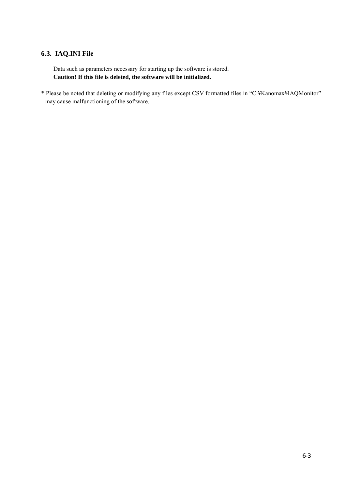## **6.3. IAQ.INI File**

 Data such as parameters necessary for starting up the software is stored. **Caution! If this file is deleted, the software will be initialized.**

\* Please be noted that deleting or modifying any files except CSV formatted files in "C:¥Kanomax¥IAQMonitor" may cause malfunctioning of the software.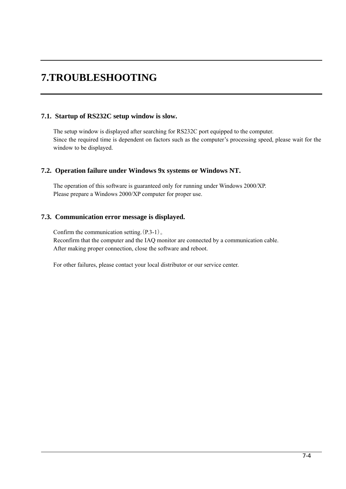## **7.TROUBLESHOOTING**

## **7.1. Startup of RS232C setup window is slow.**

The setup window is displayed after searching for RS232C port equipped to the computer. Since the required time is dependent on factors such as the computer's processing speed, please wait for the window to be displayed.

## **7.2. Operation failure under Windows 9x systems or Windows NT.**

The operation of this software is guaranteed only for running under Windows 2000/XP. Please prepare a Windows 2000/XP computer for proper use.

## **7.3. Communication error message is displayed.**

Confirm the communication setting.(P.3-1)。 Reconfirm that the computer and the IAQ monitor are connected by a communication cable. After making proper connection, close the software and reboot.

For other failures, please contact your local distributor or our service center.